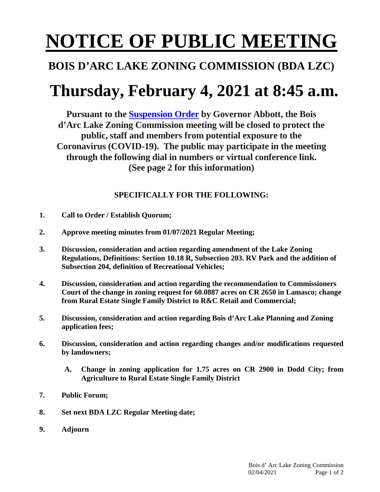# **NOTICE OF PUBLIC MEETING**

### **BOIS D'ARC LAKE ZONING COMMISSION (BDA LZC)**

## **Thursday, February 4, 2021 at 8:45 a.m.**

**Pursuant to the [Suspension Order](https://www.texasattorneygeneral.gov/sites/default/files/files/divisions/open-government/COVID-19-OMA-Suspension-Letter.pdf) by Governor Abbott, the Bois d'Arc Lake Zoning Commission meeting will be closed to protect the public, staff and members from potential exposure to the Coronavirus (COVID-19). The public may participate in the meeting through the following dial in numbers or virtual conference link. (See page 2 for this information)**

### **SPECIFICALLY FOR THE FOLLOWING:**

- **1. Call to Order / Establish Quorum;**
- **2. Approve meeting minutes from 01/07/2021 Regular Meeting;**
- **3. Discussion, consideration and action regarding amendment of the Lake Zoning Regulations, Definitions: Section 10.18 R, Subsection 203. RV Park and the addition of Subsection 204, definition of Recreational Vehicles;**
- **4. Discussion, consideration and action regarding the recommendation to Commissioners Court of the change in zoning request for 60.0887 acres on CR 2650 in Lamasco; change from Rural Estate Single Family District to R&C Retail and Commercial;**
- **5. Discussion, consideration and action regarding Bois d'Arc Lake Planning and Zoning application fees;**
- **6. Discussion, consideration and action regarding changes and/or modifications requested by landowners;**
	- **A. Change in zoning application for 1.75 acres on CR 2900 in Dodd City; from Agriculture to Rural Estate Single Family District**
- **7. Public Forum;**
- **8. Set next BDA LZC Regular Meeting date;**
- **9. Adjourn**